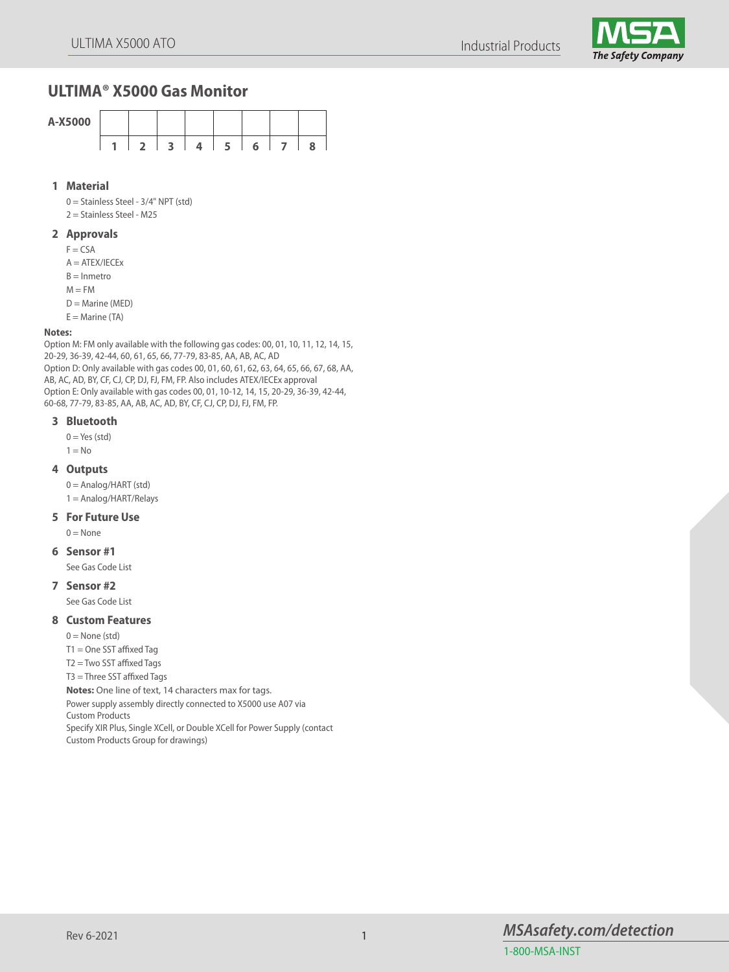Industrial Products



# **ULTIMA® X5000 Gas Monitor**



# **1 Material**

0 = Stainless Steel - 3/4" NPT (std)

2 = Stainless Steel - M25

## **2 Approvals**

 $F = CSA$ 

 $A = ATEX/IECEX$ 

 $B =$ Inmetro

 $M = FM$ 

 $D =$ Marine (MED)

 $E =$  Marine (TA)

#### **Notes:**

Option M: FM only available with the following gas codes: 00, 01, 10, 11, 12, 14, 15, 20-29, 36-39, 42-44, 60, 61, 65, 66, 77-79, 83-85, AA, AB, AC, AD Option D: Only available with gas codes 00, 01, 60, 61, 62, 63, 64, 65, 66, 67, 68, AA, AB, AC, AD, BY, CF, CJ, CP, DJ, FJ, FM, FP. Also includes ATEX/IECEx approval Option E: Only available with gas codes 00, 01, 10-12, 14, 15, 20-29, 36-39, 42-44, 60-68, 77-79, 83-85, AA, AB, AC, AD, BY, CF, CJ, CP, DJ, FJ, FM, FP.

#### **3 Bluetooth**

 $0 = Yes$  (std)

 $1 = No$ 

#### **4 Outputs**

 $0 =$  Analog/HART (std)

1 = Analog/HART/Relays

# **5 For Future Use**

 $0 = \text{None}$ 

## **6 Sensor #1**

See Gas Code List

# **7 Sensor #2**

See Gas Code List

# **8 Custom Features**

 $0 =$  None (std)

T1 = One SST affixed Tag

T2 = Two SST affixed Tags

T3 = Three SST affixed Tags

**Notes:** One line of text, 14 characters max for tags.

Power supply assembly directly connected to X5000 use A07 via

Custom Products

Specify XIR Plus, Single XCell, or Double XCell for Power Supply (contact Custom Products Group for drawings)